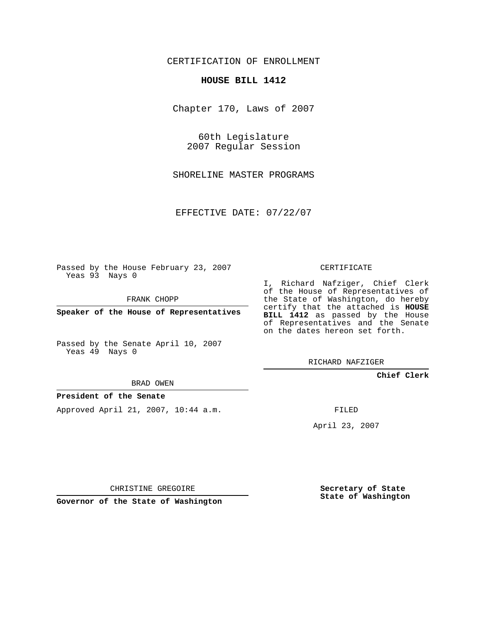CERTIFICATION OF ENROLLMENT

## **HOUSE BILL 1412**

Chapter 170, Laws of 2007

60th Legislature 2007 Regular Session

SHORELINE MASTER PROGRAMS

EFFECTIVE DATE: 07/22/07

Passed by the House February 23, 2007 Yeas 93 Nays 0

FRANK CHOPP

**Speaker of the House of Representatives**

Passed by the Senate April 10, 2007 Yeas 49 Nays 0

BRAD OWEN

## **President of the Senate**

Approved April 21, 2007, 10:44 a.m.

CERTIFICATE

I, Richard Nafziger, Chief Clerk of the House of Representatives of the State of Washington, do hereby certify that the attached is **HOUSE BILL 1412** as passed by the House of Representatives and the Senate on the dates hereon set forth.

RICHARD NAFZIGER

**Chief Clerk**

FILED

April 23, 2007

CHRISTINE GREGOIRE

**Governor of the State of Washington**

**Secretary of State State of Washington**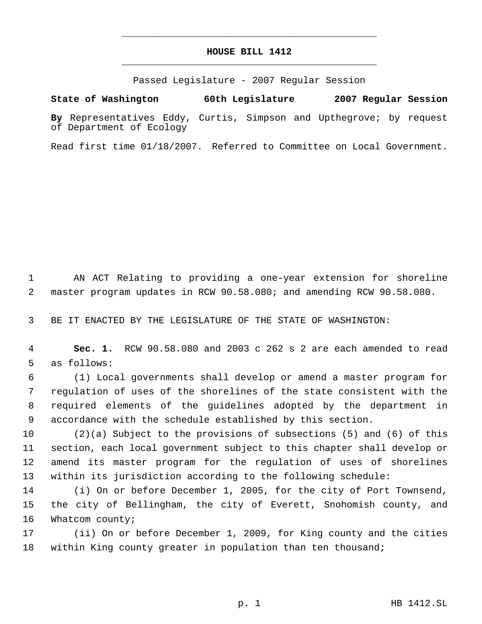## **HOUSE BILL 1412** \_\_\_\_\_\_\_\_\_\_\_\_\_\_\_\_\_\_\_\_\_\_\_\_\_\_\_\_\_\_\_\_\_\_\_\_\_\_\_\_\_\_\_\_\_

\_\_\_\_\_\_\_\_\_\_\_\_\_\_\_\_\_\_\_\_\_\_\_\_\_\_\_\_\_\_\_\_\_\_\_\_\_\_\_\_\_\_\_\_\_

Passed Legislature - 2007 Regular Session

**State of Washington 60th Legislature 2007 Regular Session**

**By** Representatives Eddy, Curtis, Simpson and Upthegrove; by request of Department of Ecology

Read first time 01/18/2007. Referred to Committee on Local Government.

 AN ACT Relating to providing a one-year extension for shoreline master program updates in RCW 90.58.080; and amending RCW 90.58.080.

BE IT ENACTED BY THE LEGISLATURE OF THE STATE OF WASHINGTON:

 **Sec. 1.** RCW 90.58.080 and 2003 c 262 s 2 are each amended to read as follows:

 (1) Local governments shall develop or amend a master program for regulation of uses of the shorelines of the state consistent with the required elements of the guidelines adopted by the department in accordance with the schedule established by this section.

 (2)(a) Subject to the provisions of subsections (5) and (6) of this section, each local government subject to this chapter shall develop or amend its master program for the regulation of uses of shorelines within its jurisdiction according to the following schedule:

 (i) On or before December 1, 2005, for the city of Port Townsend, the city of Bellingham, the city of Everett, Snohomish county, and 16 Whatcom county;

 (ii) On or before December 1, 2009, for King county and the cities within King county greater in population than ten thousand;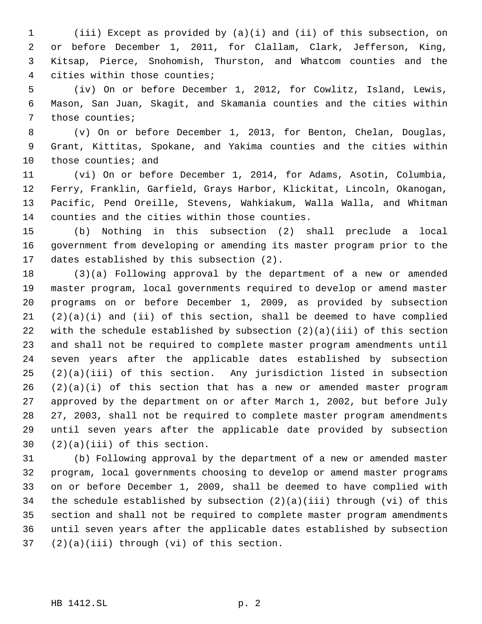(iii) Except as provided by (a)(i) and (ii) of this subsection, on or before December 1, 2011, for Clallam, Clark, Jefferson, King, Kitsap, Pierce, Snohomish, Thurston, and Whatcom counties and the cities within those counties;

 (iv) On or before December 1, 2012, for Cowlitz, Island, Lewis, Mason, San Juan, Skagit, and Skamania counties and the cities within those counties;

 (v) On or before December 1, 2013, for Benton, Chelan, Douglas, Grant, Kittitas, Spokane, and Yakima counties and the cities within those counties; and

 (vi) On or before December 1, 2014, for Adams, Asotin, Columbia, Ferry, Franklin, Garfield, Grays Harbor, Klickitat, Lincoln, Okanogan, Pacific, Pend Oreille, Stevens, Wahkiakum, Walla Walla, and Whitman counties and the cities within those counties.

 (b) Nothing in this subsection (2) shall preclude a local government from developing or amending its master program prior to the dates established by this subsection (2).

 (3)(a) Following approval by the department of a new or amended master program, local governments required to develop or amend master programs on or before December 1, 2009, as provided by subsection  $(2)(a)(i)$  and  $(ii)$  of this section, shall be deemed to have complied with the schedule established by subsection (2)(a)(iii) of this section and shall not be required to complete master program amendments until seven years after the applicable dates established by subsection (2)(a)(iii) of this section. Any jurisdiction listed in subsection (2)(a)(i) of this section that has a new or amended master program approved by the department on or after March 1, 2002, but before July 27, 2003, shall not be required to complete master program amendments until seven years after the applicable date provided by subsection (2)(a)(iii) of this section.

 (b) Following approval by the department of a new or amended master program, local governments choosing to develop or amend master programs on or before December 1, 2009, shall be deemed to have complied with the schedule established by subsection (2)(a)(iii) through (vi) of this section and shall not be required to complete master program amendments until seven years after the applicable dates established by subsection (2)(a)(iii) through (vi) of this section.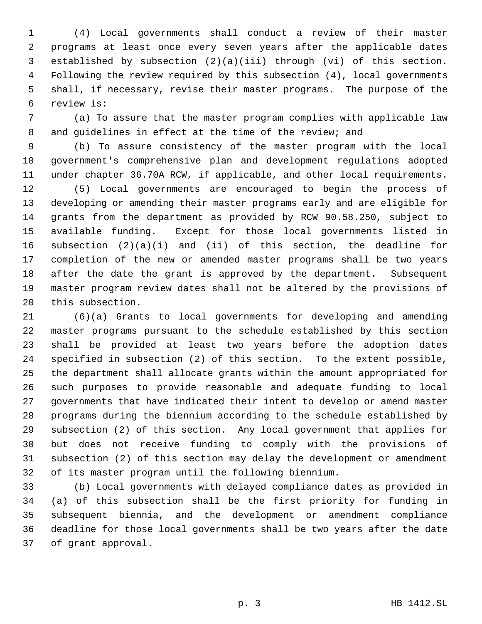(4) Local governments shall conduct a review of their master programs at least once every seven years after the applicable dates established by subsection (2)(a)(iii) through (vi) of this section. Following the review required by this subsection (4), local governments shall, if necessary, revise their master programs. The purpose of the review is:

 (a) To assure that the master program complies with applicable law and guidelines in effect at the time of the review; and

 (b) To assure consistency of the master program with the local government's comprehensive plan and development regulations adopted under chapter 36.70A RCW, if applicable, and other local requirements.

 (5) Local governments are encouraged to begin the process of developing or amending their master programs early and are eligible for grants from the department as provided by RCW 90.58.250, subject to available funding. Except for those local governments listed in subsection (2)(a)(i) and (ii) of this section, the deadline for completion of the new or amended master programs shall be two years after the date the grant is approved by the department. Subsequent master program review dates shall not be altered by the provisions of this subsection.

 (6)(a) Grants to local governments for developing and amending master programs pursuant to the schedule established by this section shall be provided at least two years before the adoption dates specified in subsection (2) of this section. To the extent possible, the department shall allocate grants within the amount appropriated for such purposes to provide reasonable and adequate funding to local governments that have indicated their intent to develop or amend master programs during the biennium according to the schedule established by subsection (2) of this section. Any local government that applies for but does not receive funding to comply with the provisions of subsection (2) of this section may delay the development or amendment of its master program until the following biennium.

 (b) Local governments with delayed compliance dates as provided in (a) of this subsection shall be the first priority for funding in subsequent biennia, and the development or amendment compliance deadline for those local governments shall be two years after the date of grant approval.